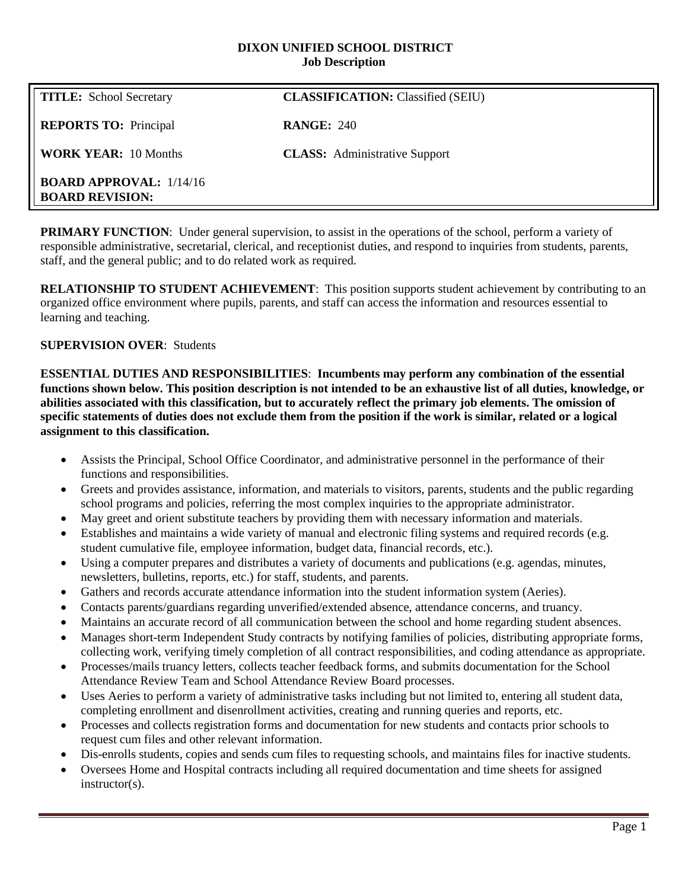#### **DIXON UNIFIED SCHOOL DISTRICT Job Description**

| <b>TITLE:</b> School Secretary                             | <b>CLASSIFICATION: Classified (SEIU)</b> |
|------------------------------------------------------------|------------------------------------------|
| <b>REPORTS TO:</b> Principal                               | <b>RANGE: 240</b>                        |
| <b>WORK YEAR: 10 Months</b>                                | <b>CLASS:</b> Administrative Support     |
| <b>BOARD APPROVAL:</b> $1/14/16$<br><b>BOARD REVISION:</b> |                                          |

**PRIMARY FUNCTION:** Under general supervision, to assist in the operations of the school, perform a variety of responsible administrative, secretarial, clerical, and receptionist duties, and respond to inquiries from students, parents, staff, and the general public; and to do related work as required.

**RELATIONSHIP TO STUDENT ACHIEVEMENT**: This position supports student achievement by contributing to an organized office environment where pupils, parents, and staff can access the information and resources essential to learning and teaching.

# **SUPERVISION OVER**: Students

**ESSENTIAL DUTIES AND RESPONSIBILITIES**: **Incumbents may perform any combination of the essential functions shown below. This position description is not intended to be an exhaustive list of all duties, knowledge, or abilities associated with this classification, but to accurately reflect the primary job elements. The omission of specific statements of duties does not exclude them from the position if the work is similar, related or a logical assignment to this classification.**

- Assists the Principal, School Office Coordinator, and administrative personnel in the performance of their functions and responsibilities.
- Greets and provides assistance, information, and materials to visitors, parents, students and the public regarding school programs and policies, referring the most complex inquiries to the appropriate administrator.
- May greet and orient substitute teachers by providing them with necessary information and materials.
- Establishes and maintains a wide variety of manual and electronic filing systems and required records (e.g. student cumulative file, employee information, budget data, financial records, etc.).
- Using a computer prepares and distributes a variety of documents and publications (e.g. agendas, minutes, newsletters, bulletins, reports, etc.) for staff, students, and parents.
- Gathers and records accurate attendance information into the student information system (Aeries).
- Contacts parents/guardians regarding unverified/extended absence, attendance concerns, and truancy.
- Maintains an accurate record of all communication between the school and home regarding student absences.
- Manages short-term Independent Study contracts by notifying families of policies, distributing appropriate forms, collecting work, verifying timely completion of all contract responsibilities, and coding attendance as appropriate.
- Processes/mails truancy letters, collects teacher feedback forms, and submits documentation for the School Attendance Review Team and School Attendance Review Board processes.
- Uses Aeries to perform a variety of administrative tasks including but not limited to, entering all student data, completing enrollment and disenrollment activities, creating and running queries and reports, etc.
- Processes and collects registration forms and documentation for new students and contacts prior schools to request cum files and other relevant information.
- Dis-enrolls students, copies and sends cum files to requesting schools, and maintains files for inactive students.
- Oversees Home and Hospital contracts including all required documentation and time sheets for assigned instructor(s).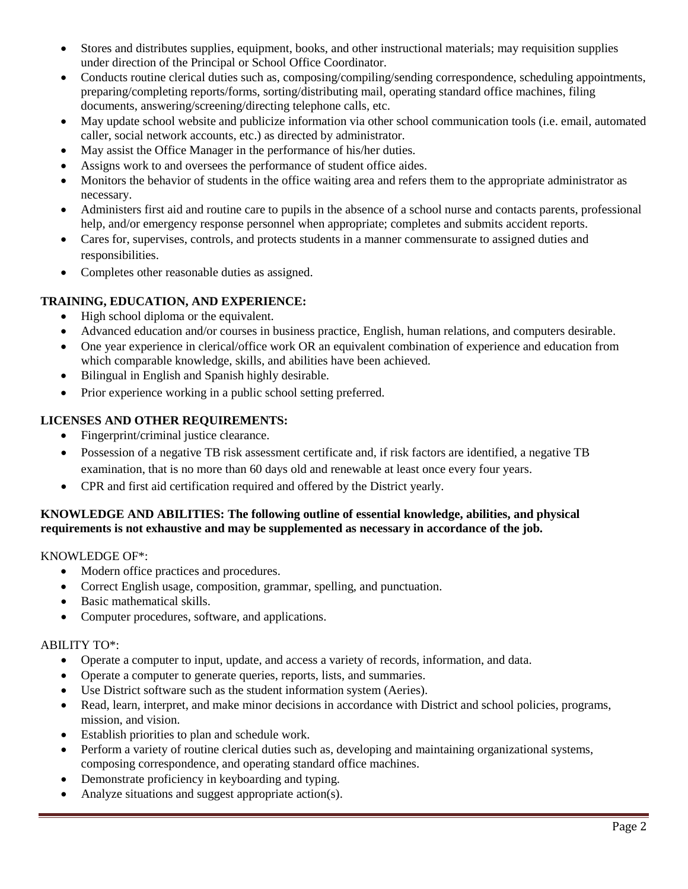- Stores and distributes supplies, equipment, books, and other instructional materials; may requisition supplies under direction of the Principal or School Office Coordinator.
- Conducts routine clerical duties such as, composing/compiling/sending correspondence, scheduling appointments, preparing/completing reports/forms, sorting/distributing mail, operating standard office machines, filing documents, answering/screening/directing telephone calls, etc.
- May update school website and publicize information via other school communication tools (i.e. email, automated caller, social network accounts, etc.) as directed by administrator.
- May assist the Office Manager in the performance of his/her duties.
- Assigns work to and oversees the performance of student office aides.
- Monitors the behavior of students in the office waiting area and refers them to the appropriate administrator as necessary.
- Administers first aid and routine care to pupils in the absence of a school nurse and contacts parents, professional help, and/or emergency response personnel when appropriate; completes and submits accident reports.
- Cares for, supervises, controls, and protects students in a manner commensurate to assigned duties and responsibilities.
- Completes other reasonable duties as assigned.

# **TRAINING, EDUCATION, AND EXPERIENCE:**

- High school diploma or the equivalent.
- Advanced education and/or courses in business practice, English, human relations, and computers desirable.
- One year experience in clerical/office work OR an equivalent combination of experience and education from which comparable knowledge, skills, and abilities have been achieved.
- Bilingual in English and Spanish highly desirable.
- Prior experience working in a public school setting preferred.

# **LICENSES AND OTHER REQUIREMENTS:**

- Fingerprint/criminal justice clearance.
- Possession of a negative TB risk assessment certificate and, if risk factors are identified, a negative TB examination, that is no more than 60 days old and renewable at least once every four years.
- CPR and first aid certification required and offered by the District yearly.

### **KNOWLEDGE AND ABILITIES: The following outline of essential knowledge, abilities, and physical requirements is not exhaustive and may be supplemented as necessary in accordance of the job.**

### KNOWLEDGE OF\*:

- Modern office practices and procedures.
- Correct English usage, composition, grammar, spelling, and punctuation.
- Basic mathematical skills.
- Computer procedures, software, and applications.

### ABILITY TO\*:

- Operate a computer to input, update, and access a variety of records, information, and data.
- Operate a computer to generate queries, reports, lists, and summaries.
- Use District software such as the student information system (Aeries).
- Read, learn, interpret, and make minor decisions in accordance with District and school policies, programs, mission, and vision.
- Establish priorities to plan and schedule work.
- Perform a variety of routine clerical duties such as, developing and maintaining organizational systems, composing correspondence, and operating standard office machines.
- Demonstrate proficiency in keyboarding and typing.
- Analyze situations and suggest appropriate action(s).